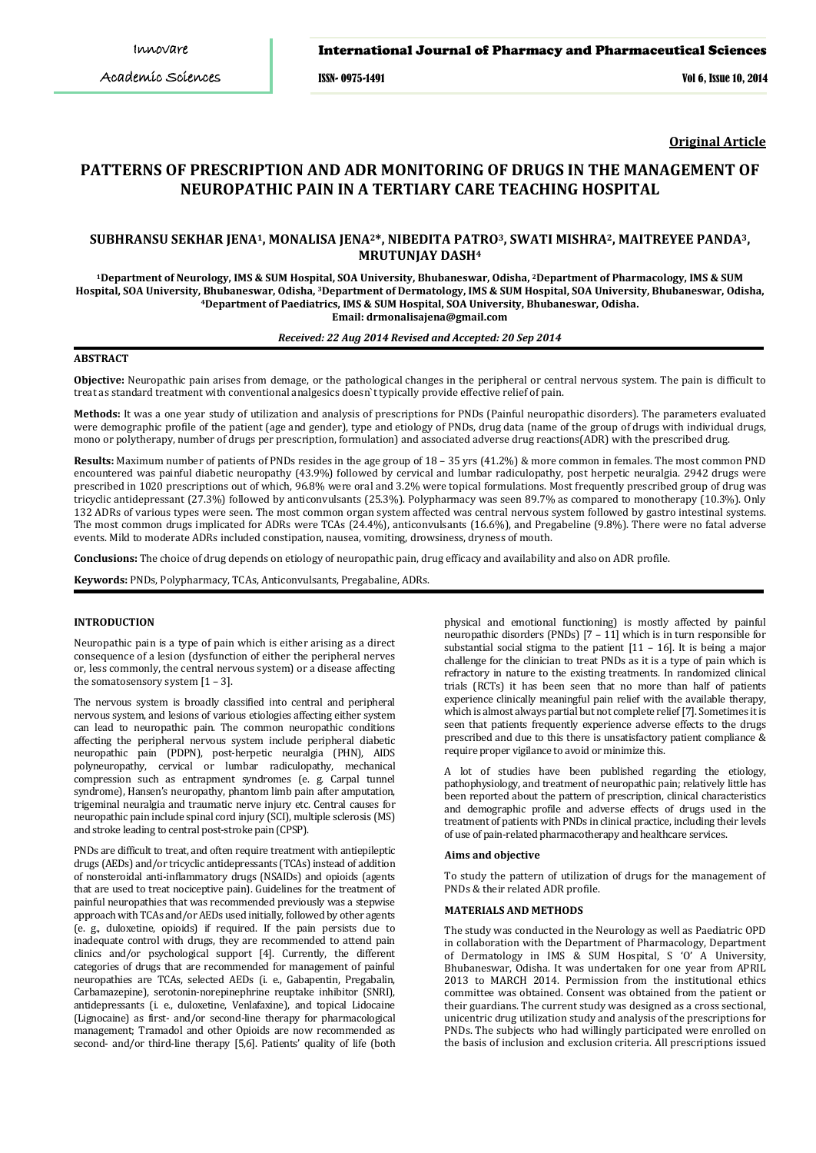#### International Journal of Pharmacy and Pharmaceutical Sciences

ISSN- 0975-1491 Vol 6, Issue 10, 2014

**Original Article**

# **PATTERNS OF PRESCRIPTION AND ADR MONITORING OF DRUGS IN THE MANAGEMENT OF NEUROPATHIC PAIN IN A TERTIARY CARE TEACHING HOSPITAL**

## **SUBHRANSU SEKHAR JENA1, MONALISA JENA2\*, NIBEDITA PATRO3, SWATI MISHRA2, MAITREYEE PANDA3, MRUTUNJAY DASH4**

**1Department of Neurology, IMS & SUM Hospital, SOA University, Bhubaneswar, Odisha, 2Department of Pharmacology, IMS & SUM Hospital, SOA University, Bhubaneswar, Odisha, 3Department of Dermatology, IMS & SUM Hospital, SOA University, Bhubaneswar, Odisha, 4 Department of Paediatrics, IMS & SUM Hospital, SOA University, Bhubaneswar, Odisha. Email: drmonalisajena@gmail.com**

## *Received: 22 Aug 2014 Revised and Accepted: 20 Sep 2014*

## **ABSTRACT**

**Objective:** Neuropathic pain arises from demage, or the pathological changes in the peripheral or central nervous system. The pain is difficult to treat as standard treatment with conventional analgesics doesn`t typically provide effective relief of pain.

**Methods:** It was a one year study of utilization and analysis of prescriptions for PNDs (Painful neuropathic disorders). The parameters evaluated were demographic profile of the patient (age and gender), type and etiology of PNDs, drug data (name of the group of drugs with individual drugs, mono or polytherapy, number of drugs per prescription, formulation) and associated adverse drug reactions(ADR) with the prescribed drug.

**Results:** Maximum number of patients of PNDs resides in the age group of 18 – 35 yrs (41.2%) & more common in females. The most common PND encountered was painful diabetic neuropathy (43.9%) followed by cervical and lumbar radiculopathy, post herpetic neuralgia. 2942 drugs were prescribed in 1020 prescriptions out of which, 96.8% were oral and 3.2% were topical formulations. Most frequently prescribed group of drug was tricyclic antidepressant (27.3%) followed by anticonvulsants (25.3%). Polypharmacy was seen 89.7% as compared to monotherapy (10.3%). Only 132 ADRs of various types were seen. The most common organ system affected was central nervous system followed by gastro intestinal systems. The most common drugs implicated for ADRs were TCAs (24.4%), anticonvulsants (16.6%), and Pregabeline (9.8%). There were no fatal adverse events. Mild to moderate ADRs included constipation, nausea, vomiting, drowsiness, dryness of mouth.

**Conclusions:** The choice of drug depends on etiology of neuropathic pain, drug efficacy and availability and also on ADR profile.

**Keywords:** PNDs, Polypharmacy, TCAs, Anticonvulsants, Pregabaline, ADRs.

## **INTRODUCTION**

Neuropathic pain is a type of pain which is either arising as a direct consequence of a lesion (dysfunction of either the peripheral nerves or, less commonly, the central nervous system) or a disease affecting the somatosensory system  $[1 - 3]$ .

The nervous system is broadly classified into central and peripheral nervous system, and lesions of various etiologies affecting either system can lead to neuropathic pain. The common neuropathic conditions affecting the peripheral nervous system include peripheral diabetic neuropathic pain (PDPN), post-herpetic neuralgia (PHN), AIDS polyneuropathy, cervical or lumbar radiculopathy, mechanical compression such as entrapment syndromes (e. g. Carpal tunnel syndrome), Hansen's neuropathy, phantom limb pain after amputation, trigeminal neuralgia and traumatic nerve injury etc. Central causes for neuropathic pain include spinal cord injury (SCI), multiple sclerosis (MS) and stroke leading to central post-stroke pain (CPSP).

PNDs are difficult to treat, and often require treatment with antiepileptic drugs (AEDs) and/or tricyclic antidepressants (TCAs) instead of addition of nonsteroidal anti-inflammatory drugs (NSAIDs) and opioids (agents that are used to treat nociceptive pain). Guidelines for the treatment of painful neuropathies that was recommended previously was a stepwise approach with TCAs and/or AEDs used initially, followed by other agents (e. g., duloxetine, opioids) if required. If the pain persists due to inadequate control with drugs, they are recommended to attend pain clinics and/or psychological support [4]. Currently, the different categories of drugs that are recommended for management of painful neuropathies are TCAs, selected AEDs (i. e., Gabapentin, Pregabalin, Carbamazepine), serotonin-norepinephrine reuptake inhibitor (SNRI), antidepressants (i. e., duloxetine, Venlafaxine), and topical Lidocaine (Lignocaine) as first- and/or second-line therapy for pharmacological management; Tramadol and other Opioids are now recommended as second- and/or third-line therapy [5,6]. Patients' quality of life (both

physical and emotional functioning) is mostly affected by painful neuropathic disorders (PNDs)  $[7 - 11]$  which is in turn responsible for substantial social stigma to the patient [11 – 16]. It is being a major challenge for the clinician to treat PNDs as it is a type of pain which is refractory in nature to the existing treatments. In randomized clinical trials (RCTs) it has been seen that no more than half of patients experience clinically meaningful pain relief with the available therapy, which is almost always partial but not complete relief [7]. Sometimes it is seen that patients frequently experience adverse effects to the drugs prescribed and due to this there is unsatisfactory patient compliance & require proper vigilance to avoid or minimize this.

A lot of studies have been published regarding the etiology, pathophysiology, and treatment of neuropathic pain; relatively little has been reported about the pattern of prescription, clinical characteristics and demographic profile and adverse effects of drugs used in the treatment of patients with PNDs in clinical practice, including their levels of use of pain-related pharmacotherapy and healthcare services.

#### **Aims and objective**

To study the pattern of utilization of drugs for the management of PNDs & their related ADR profile.

#### **MATERIALS AND METHODS**

The study was conducted in the Neurology as well as Paediatric OPD in collaboration with the Department of Pharmacology, Department of Dermatology in IMS & SUM Hospital, S 'O' A University, Bhubaneswar, Odisha. It was undertaken for one year from APRIL 2013 to MARCH 2014. Permission from the institutional ethics committee was obtained. Consent was obtained from the patient or their guardians. The current study was designed as a cross sectional, unicentric drug utilization study and analysis of the prescriptions for PNDs. The subjects who had willingly participated were enrolled on the basis of inclusion and exclusion criteria. All prescriptions issued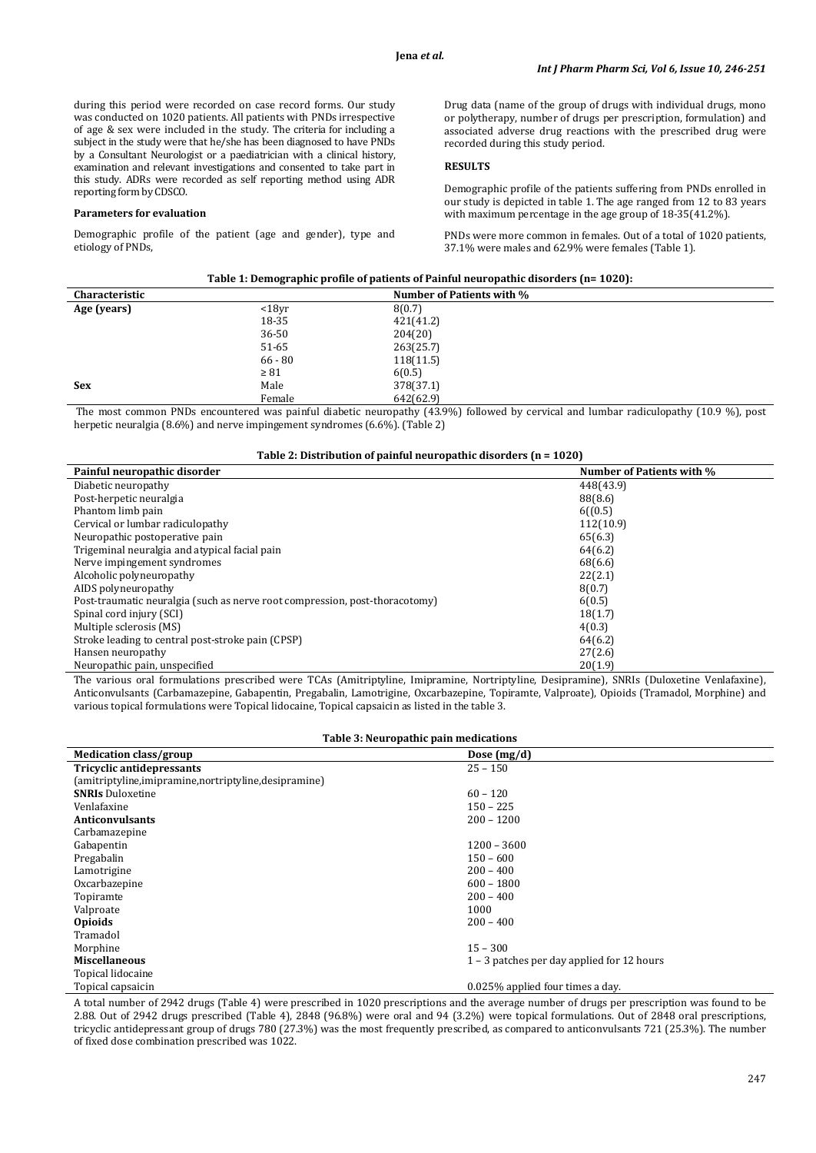during this period were recorded on case record forms. Our study was conducted on 1020 patients. All patients with PNDs irrespective of age & sex were included in the study. The criteria for including a subject in the study were that he/she has been diagnosed to have PNDs by a Consultant Neurologist or a paediatrician with a clinical history, examination and relevant investigations and consented to take part in this study. ADRs were recorded as self reporting method using ADR reporting form by CDSCO.

#### **Parameters for evaluation**

Demographic profile of the patient (age and gender), type and etiology of PNDs,

Drug data (name of the group of drugs with individual drugs, mono or polytherapy, number of drugs per prescription, formulation) and associated adverse drug reactions with the prescribed drug were recorded during this study period.

## **RESULTS**

Demographic profile of the patients suffering from PNDs enrolled in our study is depicted in table 1. The age ranged from 12 to 83 years with maximum percentage in the age group of 18-35(41.2%).

PNDs were more common in females. Out of a total of 1020 patients, 37.1% were males and 62.9% were females (Table 1).

| Table 1: Demographic profile of patients of Painful neuropathic disorders (n= 1020): |  |
|--------------------------------------------------------------------------------------|--|
|                                                                                      |  |

| <b>Characteristic</b> |           | Number of Patients with %                                                                                                                       |  |
|-----------------------|-----------|-------------------------------------------------------------------------------------------------------------------------------------------------|--|
| Age (years)           | $18yr$    | 8(0.7)                                                                                                                                          |  |
|                       | 18-35     | 421(41.2)                                                                                                                                       |  |
|                       | 36-50     | 204(20)                                                                                                                                         |  |
|                       | 51-65     | 263(25.7)                                                                                                                                       |  |
|                       | $66 - 80$ | 118(11.5)                                                                                                                                       |  |
|                       | $\geq 81$ | 6(0.5)                                                                                                                                          |  |
| <b>Sex</b>            | Male      | 378(37.1)                                                                                                                                       |  |
|                       | Female    | 642(62.9)                                                                                                                                       |  |
|                       |           | The most common DNDs concernational case astated districts accumulated (49,00) followed by consistent and business and colombial (40,0,0), what |  |

The most common PNDs encountered was painful diabetic neuropathy (43.9%) followed by cervical and lumbar radiculopathy (10.9 %), post herpetic neuralgia (8.6%) and nerve impingement syndromes (6.6%). (Table 2)

## **Table 2: Distribution of painful neuropathic disorders (n = 1020)**

| Painful neuropathic disorder                                                | <b>Number of Patients with %</b> |
|-----------------------------------------------------------------------------|----------------------------------|
| Diabetic neuropathy                                                         | 448(43.9)                        |
| Post-herpetic neuralgia                                                     | 88(8.6)                          |
| Phantom limb pain                                                           | 6((0.5)                          |
| Cervical or lumbar radiculopathy                                            | 112(10.9)                        |
| Neuropathic postoperative pain                                              | 65(6.3)                          |
| Trigeminal neuralgia and atypical facial pain                               | 64(6.2)                          |
| Nerve impingement syndromes                                                 | 68(6.6)                          |
| Alcoholic polyneuropathy                                                    | 22(2.1)                          |
| AIDS polyneuropathy                                                         | 8(0.7)                           |
| Post-traumatic neuralgia (such as nerve root compression, post-thoracotomy) | 6(0.5)                           |
| Spinal cord injury (SCI)                                                    | 18(1.7)                          |
| Multiple sclerosis (MS)                                                     | 4(0.3)                           |
| Stroke leading to central post-stroke pain (CPSP)                           | 64(6.2)                          |
| Hansen neuropathy                                                           | 27(2.6)                          |
| Neuropathic pain, unspecified                                               | 20(1.9)                          |

The various oral formulations prescribed were TCAs (Amitriptyline, Imipramine, Nortriptyline, Desipramine), SNRIs (Duloxetine Venlafaxine), Anticonvulsants (Carbamazepine, Gabapentin, Pregabalin, Lamotrigine, Oxcarbazepine, Topiramte, Valproate), Opioids (Tramadol, Morphine) and various topical formulations were Topical lidocaine, Topical capsaicin as listed in the table 3.

## **Table 3: Neuropathic pain medications**

| Medication class/group                                  | Dose $(mg/d)$                              |
|---------------------------------------------------------|--------------------------------------------|
| Tricyclic antidepressants                               | $25 - 150$                                 |
| (amitriptyline, imipramine, nortriptyline, desipramine) |                                            |
| <b>SNRIs Duloxetine</b>                                 | $60 - 120$                                 |
| Venlafaxine                                             | $150 - 225$                                |
| <b>Anticonvulsants</b>                                  | $200 - 1200$                               |
| Carbamazepine                                           |                                            |
| Gabapentin                                              | $1200 - 3600$                              |
| Pregabalin                                              | $150 - 600$                                |
| Lamotrigine                                             | $200 - 400$                                |
| Oxcarbazepine                                           | $600 - 1800$                               |
| Topiramte                                               | $200 - 400$                                |
| Valproate                                               | 1000                                       |
| <b>Opioids</b>                                          | $200 - 400$                                |
| Tramadol                                                |                                            |
| Morphine                                                | $15 - 300$                                 |
| <b>Miscellaneous</b>                                    | 1 – 3 patches per day applied for 12 hours |
| Topical lidocaine                                       |                                            |
| Topical capsaicin                                       | 0.025% applied four times a day.           |

A total number of 2942 drugs (Table 4) were prescribed in 1020 prescriptions and the average number of drugs per prescription was found to be 2.88. Out of 2942 drugs prescribed (Table 4), 2848 (96.8%) were oral and 94 (3.2%) were topical formulations. Out of 2848 oral prescriptions, tricyclic antidepressant group of drugs 780 (27.3%) was the most frequently prescribed, as compared to anticonvulsants 721 (25.3%). The number of fixed dose combination prescribed was 1022.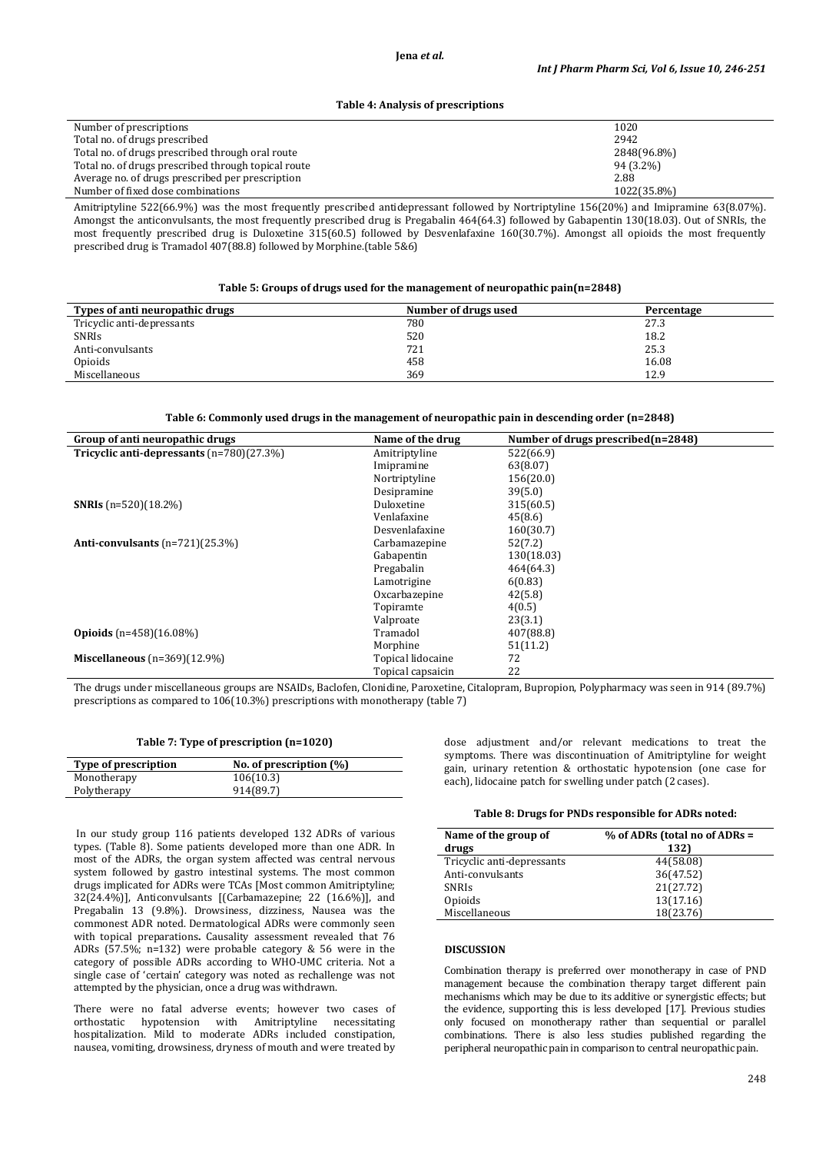#### **Jena** *et al.*

#### **Table 4: Analysis of prescriptions**

| Number of prescriptions                             | 1020        |
|-----------------------------------------------------|-------------|
| Total no. of drugs prescribed                       | 2942        |
| Total no. of drugs prescribed through oral route    | 2848(96.8%) |
| Total no. of drugs prescribed through topical route | 94 (3.2%)   |
| Average no. of drugs prescribed per prescription    | 2.88        |
| Number of fixed dose combinations                   | 1022(35.8%) |
|                                                     |             |

Amitriptyline 522(66.9%) was the most frequently prescribed antidepressant followed by Nortriptyline 156(20%) and Imipramine 63(8.07%). Amongst the anticonvulsants, the most frequently prescribed drug is Pregabalin 464(64.3) followed by Gabapentin 130(18.03). Out of SNRIs, the most frequently prescribed drug is Duloxetine 315(60.5) followed by Desvenlafaxine 160(30.7%). Amongst all opioids the most frequently prescribed drug is Tramadol 407(88.8) followed by Morphine.(table 5&6)

#### **Table 5: Groups of drugs used for the management of neuropathic pain(n=2848)**

| Types of anti neuropathic drugs | Number of drugs used | Percentage |
|---------------------------------|----------------------|------------|
| Tricyclic anti-depressants      | 780                  | 27.3       |
| <b>SNRIS</b>                    | 520                  | 18.2       |
| Anti-convulsants                | 721                  | 25.3       |
| Opioids                         | 458                  | 16.08      |
| Miscellaneous                   | 369                  | 12.9       |

#### **Table 6: Commonly used drugs in the management of neuropathic pain in descending order (n=2848)**

| Group of anti neuropathic drugs             | Name of the drug  | Number of drugs prescribed(n=2848) |
|---------------------------------------------|-------------------|------------------------------------|
| Tricyclic anti-depressants $(n=780)(27.3%)$ | Amitriptyline     | 522(66.9)                          |
|                                             | Imipramine        | 63(8.07)                           |
|                                             | Nortriptyline     | 156(20.0)                          |
|                                             | Desipramine       | 39(5.0)                            |
| <b>SNRIs</b> $(n=520)(18.2\%)$              | Duloxetine        | 315(60.5)                          |
|                                             | Venlafaxine       | 45(8.6)                            |
|                                             | Desvenlafaxine    | 160(30.7)                          |
| Anti-convulsants $(n=721)(25.3%)$           | Carbamazepine     | 52(7.2)                            |
|                                             | Gabapentin        | 130(18.03)                         |
|                                             | Pregabalin        | 464(64.3)                          |
|                                             | Lamotrigine       | 6(0.83)                            |
|                                             | Oxcarbazepine     | 42(5.8)                            |
|                                             | Topiramte         | 4(0.5)                             |
|                                             | Valproate         | 23(3.1)                            |
| <b>Opioids</b> $(n=458)(16.08\%)$           | Tramadol          | 407(88.8)                          |
|                                             | Morphine          | 51(11.2)                           |
| Miscellaneous $(n=369)(12.9%)$              | Topical lidocaine | 72                                 |
|                                             | Topical capsaicin | 22                                 |

The drugs under miscellaneous groups are NSAIDs, Baclofen, Clonidine, Paroxetine, Citalopram, Bupropion, Polypharmacy was seen in 914 (89.7%) prescriptions as compared to 106(10.3%) prescriptions with monotherapy (table 7)

### **Table 7: Type of prescription (n=1020)**

| Type of prescription | No. of prescription $(\%)$ |
|----------------------|----------------------------|
| Monotherapy          | 106(10.3)                  |
| Polytherapy          | 914(89.7)                  |

In our study group 116 patients developed 132 ADRs of various types. (Table 8). Some patients developed more than one ADR. In most of the ADRs, the organ system affected was central nervous system followed by gastro intestinal systems. The most common drugs implicated for ADRs were TCAs [Most common Amitriptyline; 32(24.4%)], Anticonvulsants [(Carbamazepine; 22 (16.6%)], and Pregabalin 13 (9.8%). Drowsiness, dizziness, Nausea was the commonest ADR noted. Dermatological ADRs were commonly seen with topical preparations**.** Causality assessment revealed that 76 ADRs (57.5%; n=132) were probable category & 56 were in the category of possible ADRs according to WHO-UMC criteria. Not a single case of 'certain' category was noted as rechallenge was not attempted by the physician, once a drug was withdrawn.

There were no fatal adverse events; however two cases of orthostatic hypotension with Amitriptyline necessitating orthostatic hypotension with Amitriptyline necessitating hospitalization. Mild to moderate ADRs included constipation, nausea, vomiting, drowsiness, dryness of mouth and were treated by dose adjustment and/or relevant medications to treat the symptoms. There was discontinuation of Amitriptyline for weight gain, urinary retention & orthostatic hypotension (one case for each), lidocaine patch for swelling under patch (2 cases).

#### **Table 8: Drugs for PNDs responsible for ADRs noted:**

| Name of the group of       | % of ADRs (total no of ADRs = |
|----------------------------|-------------------------------|
| drugs                      | 132)                          |
| Tricyclic anti-depressants | 44(58.08)                     |
| Anti-convulsants           | 36(47.52)                     |
| <b>SNRIs</b>               | 21(27.72)                     |
| Opioids                    | 13(17.16)                     |
| Miscellaneous              | 18(23.76)                     |

## **DISCUSSION**

Combination therapy is preferred over monotherapy in case of PND management because the combination therapy target different pain mechanisms which may be due to its additive or synergistic effects; but the evidence, supporting this is less developed [17]. Previous studies only focused on monotherapy rather than sequential or parallel combinations. There is also less studies published regarding the peripheral neuropathic pain in comparison to central neuropathic pain.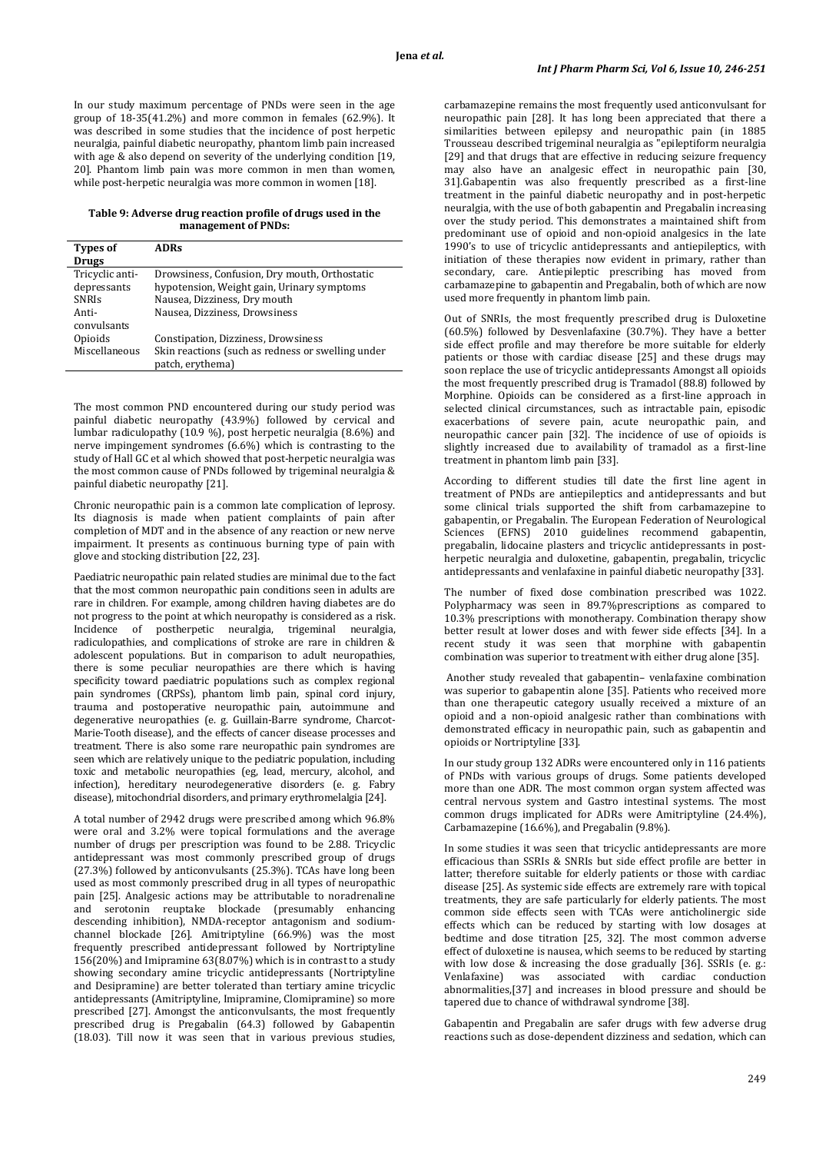In our study maximum percentage of PNDs were seen in the age group of 18-35(41.2%) and more common in females (62.9%). It was described in some studies that the incidence of post herpetic neuralgia, painful diabetic neuropathy, phantom limb pain increased with age & also depend on severity of the underlying condition [19, 20]. Phantom limb pain was more common in men than women, while post-herpetic neuralgia was more common in women [18].

#### **Table 9: Adverse drug reaction profile of drugs used in the management of PNDs:**

| <b>Types of</b> | <b>ADRs</b>                                       |
|-----------------|---------------------------------------------------|
| <b>Drugs</b>    |                                                   |
| Tricyclic anti- | Drowsiness, Confusion, Dry mouth, Orthostatic     |
| depressants     | hypotension, Weight gain, Urinary symptoms        |
| <b>SNRIs</b>    | Nausea, Dizziness, Dry mouth                      |
| Anti-           | Nausea, Dizziness, Drowsiness                     |
| convulsants     |                                                   |
| Opioids         | Constipation, Dizziness, Drowsiness               |
| Miscellaneous   | Skin reactions (such as redness or swelling under |
|                 | patch, erythema)                                  |

The most common PND encountered during our study period was painful diabetic neuropathy (43.9%) followed by cervical and lumbar radiculopathy (10.9 %), post herpetic neuralgia (8.6%) and nerve impingement syndromes (6.6%) which is contrasting to the study of Hall GC et al which showed that post-herpetic neuralgia was the most common cause of PNDs followed by trigeminal neuralgia & painful diabetic neuropathy [21].

Chronic neuropathic pain is a common late complication of leprosy. Its diagnosis is made when patient complaints of pain after completion of MDT and in the absence of any reaction or new nerve impairment. It presents as continuous burning type of pain with glove and stocking distribution [22, 23].

Paediatric neuropathic pain related studies are minimal due to the fact that the most common neuropathic pain conditions seen in adults are rare in children. For example, among children having diabetes are do not progress to the point at which neuropathy is considered as a risk. Incidence of postherpetic neuralgia, trigeminal neuralgia, radiculopathies, and complications of stroke are rare in children & adolescent populations. But in comparison to adult neuropathies, there is some peculiar neuropathies are there which is having specificity toward paediatric populations such as complex regional pain syndromes (CRPSs), phantom limb pain, spinal cord injury, trauma and postoperative neuropathic pain, autoimmune and degenerative neuropathies (e. g. Guillain-Barre syndrome, Charcot-Marie-Tooth disease), and the effects of cancer disease processes and treatment. There is also some rare neuropathic pain syndromes are seen which are relatively unique to the pediatric population, including toxic and metabolic neuropathies (eg, lead, mercury, alcohol, and infection), hereditary neurodegenerative disorders (e. g. Fabry disease), mitochondrial disorders, and primary erythromelalgia [24].

A total number of 2942 drugs were prescribed among which 96.8% were oral and 3.2% were topical formulations and the average number of drugs per prescription was found to be 2.88. Tricyclic antidepressant was most commonly prescribed group of drugs (27.3%) followed by anticonvulsants (25.3%). TCAs have long been used as most commonly prescribed drug in all types of neuropathic pain [25]. Analgesic actions may be attributable to noradrenaline and serotonin reuptake blockade (presumably enhancing descending inhibition), NMDA-receptor antagonism and sodiumchannel blockade [26]. Amitriptyline (66.9%) was the most frequently prescribed antidepressant followed by Nortriptyline 156(20%) and Imipramine 63(8.07%) which is in contrast to a study showing secondary amine tricyclic antidepressants (Nortriptyline and Desipramine) are better tolerated than tertiary amine tricyclic antidepressants (Amitriptyline, Imipramine, Clomipramine) so more prescribed [27]. Amongst the anticonvulsants, the most frequently prescribed drug is Pregabalin (64.3) followed by Gabapentin (18.03). Till now it was seen that in various previous studies,

carbamazepine remains the most frequently used anticonvulsant for neuropathic pain [28]. It has long been appreciated that there a similarities between epilepsy and neuropathic pain (in 1885 Trousseau described trigeminal neuralgia as "epileptiform neuralgia [29] and that drugs that are effective in reducing seizure frequency may also have an analgesic effect in neuropathic pain [30, 31].Gabapentin was also frequently prescribed as a first-line treatment in the painful diabetic neuropathy and in post-herpetic neuralgia, with the use of both gabapentin and Pregabalin increasing over the study period. This demonstrates a maintained shift from predominant use of opioid and non-opioid analgesics in the late 1990's to use of tricyclic antidepressants and antiepileptics, with initiation of these therapies now evident in primary, rather than secondary, care. Antiepileptic prescribing has moved from carbamazepine to gabapentin and Pregabalin, both of which are now used more frequently in phantom limb pain.

Out of SNRIs, the most frequently prescribed drug is Duloxetine (60.5%) followed by Desvenlafaxine (30.7%). They have a better side effect profile and may therefore be more suitable for elderly patients or those with cardiac disease [25] and these drugs may soon replace the use of tricyclic antidepressants Amongst all opioids the most frequently prescribed drug is Tramadol (88.8) followed by Morphine. Opioids can be considered as a first-line approach in selected clinical circumstances, such as intractable pain, episodic exacerbations of severe pain, acute neuropathic pain, and neuropathic cancer pain [32]. The incidence of use of opioids is slightly increased due to availability of tramadol as a first-line treatment in phantom limb pain [33].

According to different studies till date the first line agent in treatment of PNDs are antiepileptics and antidepressants and but some clinical trials supported the shift from carbamazepine to gabapentin, or Pregabalin. The European Federation of Neurological Sciences (EFNS) 2010 guidelines recommend gabapentin, pregabalin, lidocaine plasters and tricyclic antidepressants in postherpetic neuralgia and duloxetine, gabapentin, pregabalin, tricyclic antidepressants and venlafaxine in painful diabetic neuropathy [33].

The number of fixed dose combination prescribed was 1022. Polypharmacy was seen in 89.7%prescriptions as compared to 10.3% prescriptions with monotherapy. Combination therapy show better result at lower doses and with fewer side effects [34]. In a recent study it was seen that morphine with gabapentin combination was superior to treatment with either drug alone [35].

Another study revealed that gabapentin– venlafaxine combination was superior to gabapentin alone [35]. Patients who received more than one therapeutic category usually received a mixture of an opioid and a non-opioid analgesic rather than combinations with demonstrated efficacy in neuropathic pain, such as gabapentin and opioids or Nortriptyline [33].

In our study group 132 ADRs were encountered only in 116 patients of PNDs with various groups of drugs. Some patients developed more than one ADR. The most common organ system affected was central nervous system and Gastro intestinal systems. The most common drugs implicated for ADRs were Amitriptyline (24.4%), Carbamazepine (16.6%), and Pregabalin (9.8%).

In some studies it was seen that tricyclic antidepressants are more efficacious than SSRIs & SNRIs but side effect profile are better in latter; therefore suitable for elderly patients or those with cardiac disease [25]. As systemic side effects are extremely rare with topical treatments, they are safe particularly for elderly patients. The most common side effects seen with TCAs were anticholinergic side effects which can be reduced by starting with low dosages at bedtime and dose titration [25, 32]. The most common adverse effect of duloxetine is nausea, which seems to be reduced by starting with low dose & increasing the dose gradually [36]. SSRIs (e. g.:<br>Venlafaxine) was associated with cardiac conduction Venlafaxine) was associated with cardiac conduction abnormalities,[37] and increases in blood pressure and should be tapered due to chance of withdrawal syndrome [38].

Gabapentin and Pregabalin are safer drugs with few adverse drug reactions such as dose-dependent dizziness and sedation, which can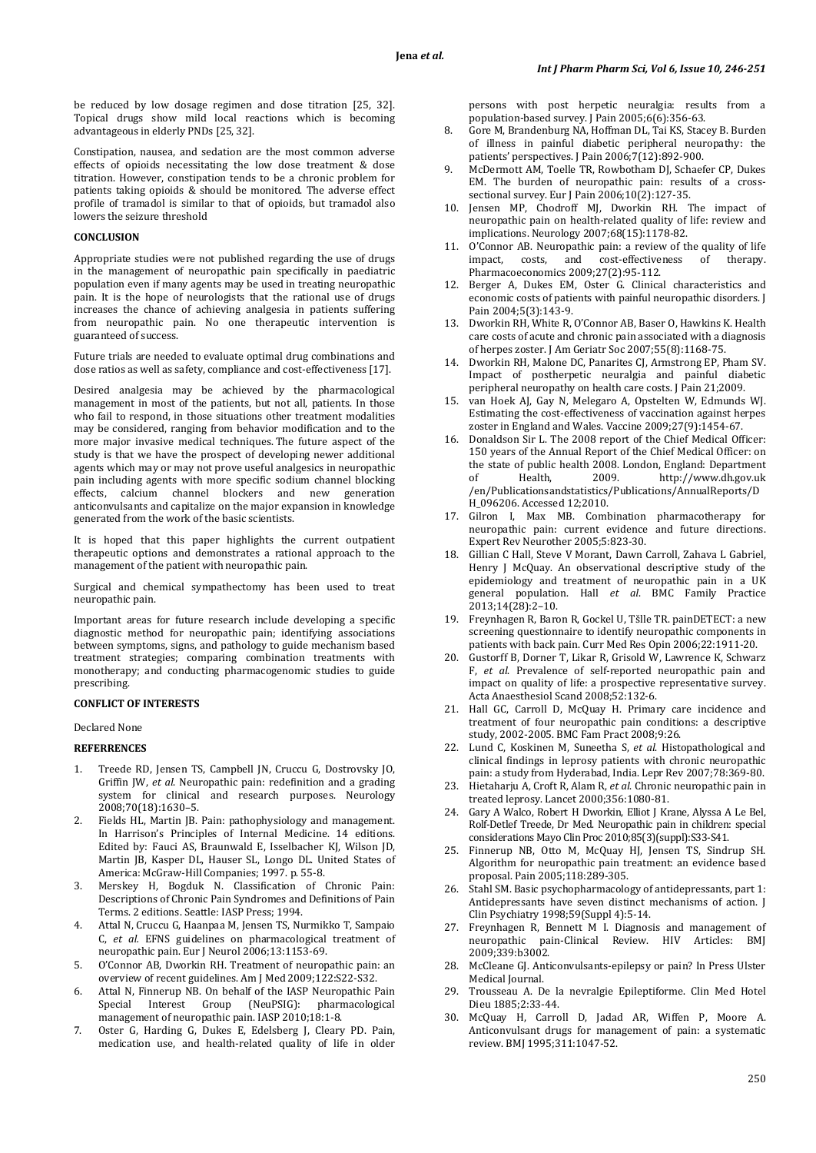be reduced by low dosage regimen and dose titration [25, 32]. Topical drugs show mild local reactions which is becoming advantageous in elderly PNDs [25, 32].

Constipation, nausea, and sedation are the most common adverse effects of opioids necessitating the low dose treatment & dose titration. However, constipation tends to be a chronic problem for patients taking opioids & should be monitored. The adverse effect profile of tramadol is similar to that of opioids, but tramadol also lowers the seizure threshold

### **CONCLUSION**

Appropriate studies were not published regarding the use of drugs in the management of neuropathic pain specifically in paediatric population even if many agents may be used in treating neuropathic pain. It is the hope of neurologists that the rational use of drugs increases the chance of achieving analgesia in patients suffering from neuropathic pain. No one therapeutic intervention is guaranteed of success.

Future trials are needed to evaluate optimal drug combinations and dose ratios as well as safety, compliance and cost-effectiveness [17].

Desired analgesia may be achieved by the pharmacological management in most of the patients, but not all, patients. In those who fail to respond, in those situations other treatment modalities may be considered, ranging from behavior modification and to the more major invasive medical techniques. The future aspect of the study is that we have the prospect of developing newer additional agents which may or may not prove useful analgesics in neuropathic pain including agents with more specific sodium channel blocking<br>effects. calcium channel blockers and new generation effects, calcium channel blockers and new anticonvulsants and capitalize on the major expansion in knowledge generated from the work of the basic scientists.

It is hoped that this paper highlights the current outpatient therapeutic options and demonstrates a rational approach to the management of the patient with neuropathic pain.

Surgical and chemical sympathectomy has been used to treat neuropathic pain.

Important areas for future research include developing a specific diagnostic method for neuropathic pain; identifying associations between symptoms, signs, and pathology to guide mechanism based treatment strategies; comparing combination treatments with monotherapy; and conducting pharmacogenomic studies to guide prescribing.

## **CONFLICT OF INTERESTS**

Declared None

#### **REFERRENCES**

- 1. Treede RD, Jensen TS, Campbell JN, Cruccu G, Dostrovsky JO, Griffin JW, *et al*. Neuropathic pain: redefinition and a grading system for clinical and research purposes. Neurology 2008;70(18):1630–5.
- Fields HL, Martin JB. Pain: pathophysiology and management. In Harrison's Principles of Internal Medicine. 14 editions. Edited by: Fauci AS, Braunwald E, Isselbacher KJ, Wilson JD, Martin JB, Kasper DL, Hauser SL, Longo DL. United States of America: McGraw-Hill Companies; 1997. p. 55-8.
- 3. Merskey H, Bogduk N. Classification of Chronic Pain: Descriptions of Chronic Pain Syndromes and Definitions of Pain Terms. 2 editions. Seattle: IASP Press; 1994.
- 4. Attal N, Cruccu G, Haanpaa M, Jensen TS, Nurmikko T, Sampaio C, *et al.* EFNS guidelines on pharmacological treatment of neuropathic pain. Eur J Neurol 2006;13:1153-69.
- 5. O'Connor AB, Dworkin RH. Treatment of neuropathic pain: an overview of recent guidelines. Am J Med 2009;122:S22-S32.
- Attal N, Finnerup NB. On behalf of the IASP Neuropathic Pain Special Interest Group (NeuPSIG): pharmacological management of neuropathic pain. IASP 2010;18:1-8.
- 7. Oster G, Harding G, Dukes E, Edelsberg J, Cleary PD. Pain, medication use, and health-related quality of life in older

persons with post herpetic neuralgia: results from a population-based survey. J Pain 2005;6(6):356-63.

- 8. Gore M, Brandenburg NA, Hoffman DL, Tai KS, Stacey B. Burden of illness in painful diabetic peripheral neuropathy: the patients' perspectives. J Pain 2006;7(12):892-900.
- 9. McDermott AM, Toelle TR, Rowbotham DJ, Schaefer CP, Dukes EM. The burden of neuropathic pain: results of a crosssectional survey. Eur J Pain 2006;10(2):127-35.
- 10. Jensen MP, Chodroff MJ, Dworkin RH. The impact of neuropathic pain on health-related quality of life: review and implications. Neurology 2007;68(15):1178-82.
- 11. O'Connor AB. Neuropathic pain: a review of the quality of life impact, costs, and cost-effectiveness of therapy. and cost-effectiveness Pharmacoeconomics 2009;27(2):95-112.
- 12. Berger A, Dukes EM, Oster G. Clinical characteristics and economic costs of patients with painful neuropathic disorders. J Pain 2004;5(3):143-9.
- 13. Dworkin RH, White R, O'Connor AB, Baser O, Hawkins K. Health care costs of acute and chronic pain associated with a diagnosis of herpes zoster. J Am Geriatr Soc 2007;55(8):1168-75.
- 14. Dworkin RH, Malone DC, Panarites CJ, Armstrong EP, Pham SV. Impact of postherpetic neuralgia and painful diabetic peripheral neuropathy on health care costs. J Pain 21;2009.
- 15. van Hoek AJ, Gay N, Melegaro A, Opstelten W, Edmunds WJ. Estimating the cost-effectiveness of vaccination against herpes zoster in England and Wales. Vaccine 2009;27(9):1454-67.
- 16. Donaldson Sir L. The 2008 report of the Chief Medical Officer: 150 years of the Annual Report of the Chief Medical Officer: on the state of public health 2008. London, England: Department<br>of Health. 2009. http://www.dh.gov.uk http://www.dh.gov.uk /en/Publicationsandstatistics/Publications/AnnualReports/D H\_096206. Accessed 12;2010.
- 17. Gilron I, Max MB. Combination pharmacotherapy for neuropathic pain: current evidence and future directions. Expert Rev Neurother 2005;5:823-30.
- 18. Gillian C Hall, Steve V Morant, Dawn Carroll, Zahava L Gabriel, Henry J McQuay. An observational descriptive study of the epidemiology and treatment of neuropathic pain in a UK general population. Hall *et al*. BMC Family Practice 2013;14(28):2–10.
- 19. Freynhagen R, Baron R, Gockel U, Tšlle TR. painDETECT: a new screening questionnaire to identify neuropathic components in patients with back pain. Curr Med Res Opin 2006;22:1911-20.
- 20. Gustorff B, Dorner T, Likar R, Grisold W, Lawrence K, Schwarz F, *et al*. Prevalence of self-reported neuropathic pain and impact on quality of life: a prospective representative survey. Acta Anaesthesiol Scand 2008;52:132-6.
- 21. Hall GC, Carroll D, McQuay H. Primary care incidence and treatment of four neuropathic pain conditions: a descriptive study, 2002-2005. BMC Fam Pract 2008;9:26.
- 22. Lund C, Koskinen M, Suneetha S, *et al*. Histopathological and clinical findings in leprosy patients with chronic neuropathic pain: a study from Hyderabad, India. Lepr Rev 2007;78:369-80.
- 23. Hietaharju A, Croft R, Alam R, *et al*. Chronic neuropathic pain in treated leprosy. Lancet 2000;356:1080-81.
- 24. Gary A Walco, Robert H Dworkin, Elliot J Krane, Alyssa A Le Bel, Rolf-Detlef Treede, Dr Med. Neuropathic pain in children: special considerations Mayo Clin Proc 2010;85(3)(suppl):S33-S41.
- 25. Finnerup NB, Otto M, McQuay HJ, Jensen TS, Sindrup SH. Algorithm for neuropathic pain treatment: an evidence based proposal. Pain 2005;118:289-305.
- 26. Stahl SM. Basic psychopharmacology of antidepressants, part 1: Antidepressants have seven distinct mechanisms of action. J Clin Psychiatry 1998;59(Suppl 4):5-14.
- 27. Freynhagen R, Bennett M I. Diagnosis and management of neuronathic pain-Clinical Review HIV Articles: RMI neuropathic pain-Clinical Review. HIV Articles: 2009;339:b3002.
- 28. McCleane GJ. Anticonvulsants-epilepsy or pain? In Press Ulster Medical Journal.
- 29. Trousseau A. De la nevralgie Epileptiforme. Clin Med Hotel Dieu 1885;2:33-44.
- 30. McQuay H, Carroll D, Jadad AR, Wiffen P, Moore A. Anticonvulsant drugs for management of pain: a systematic review. BMJ 1995;311:1047-52.